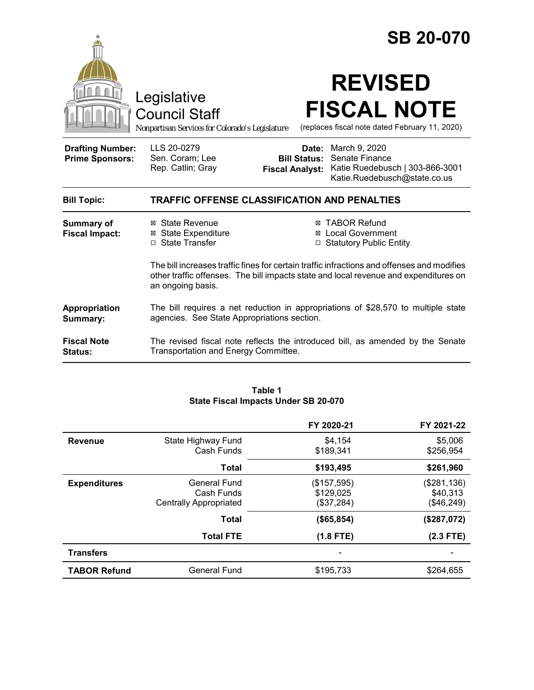|                                                   |                                                                                                                                                                                                         |                              | <b>SB 20-070</b>                                                                                                   |
|---------------------------------------------------|---------------------------------------------------------------------------------------------------------------------------------------------------------------------------------------------------------|------------------------------|--------------------------------------------------------------------------------------------------------------------|
|                                                   | Legislative<br><b>Council Staff</b><br>Nonpartisan Services for Colorado's Legislature                                                                                                                  |                              | <b>REVISED</b><br><b>FISCAL NOTE</b><br>(replaces fiscal note dated February 11, 2020)                             |
| <b>Drafting Number:</b><br><b>Prime Sponsors:</b> | LLS 20-0279<br>Sen. Coram; Lee<br>Rep. Catlin; Gray                                                                                                                                                     | Date:<br><b>Bill Status:</b> | March 9, 2020<br>Senate Finance<br>Fiscal Analyst: Katie Ruedebusch   303-866-3001<br>Katie.Ruedebusch@state.co.us |
| <b>Bill Topic:</b>                                | <b>TRAFFIC OFFENSE CLASSIFICATION AND PENALTIES</b>                                                                                                                                                     |                              |                                                                                                                    |
| <b>Summary of</b><br><b>Fiscal Impact:</b>        | ⊠ State Revenue<br><b>⊠</b> State Expenditure<br>$\Box$ State Transfer                                                                                                                                  |                              | ⊠ TABOR Refund<br><b>Local Government</b><br>□ Statutory Public Entity                                             |
|                                                   | The bill increases traffic fines for certain traffic infractions and offenses and modifies<br>other traffic offenses. The bill impacts state and local revenue and expenditures on<br>an ongoing basis. |                              |                                                                                                                    |
| Appropriation<br>Summary:                         | The bill requires a net reduction in appropriations of \$28,570 to multiple state<br>agencies. See State Appropriations section.                                                                        |                              |                                                                                                                    |
| <b>Fiscal Note</b><br>Status:                     | The revised fiscal note reflects the introduced bill, as amended by the Senate<br>Transportation and Energy Committee.                                                                                  |                              |                                                                                                                    |

#### **Table 1 State Fiscal Impacts Under SB 20-070**

|                     |                                  | FY 2020-21           | FY 2021-22           |
|---------------------|----------------------------------|----------------------|----------------------|
| <b>Revenue</b>      | State Highway Fund<br>Cash Funds | \$4.154<br>\$189,341 | \$5,006<br>\$256,954 |
|                     |                                  |                      |                      |
|                     | <b>Total</b>                     | \$193,495            | \$261,960            |
| <b>Expenditures</b> | <b>General Fund</b>              | (\$157,595)          | (\$281,136)          |
|                     | Cash Funds                       | \$129,025            | \$40,313             |
|                     | <b>Centrally Appropriated</b>    | (\$37,284)           | (\$46,249)           |
|                     | <b>Total</b>                     | (\$65,854)           | (\$287,072)          |
|                     | <b>Total FTE</b>                 | $(1.8$ FTE)          | $(2.3$ FTE)          |
| <b>Transfers</b>    |                                  |                      |                      |
| <b>TABOR Refund</b> | <b>General Fund</b>              | \$195.733            | \$264.655            |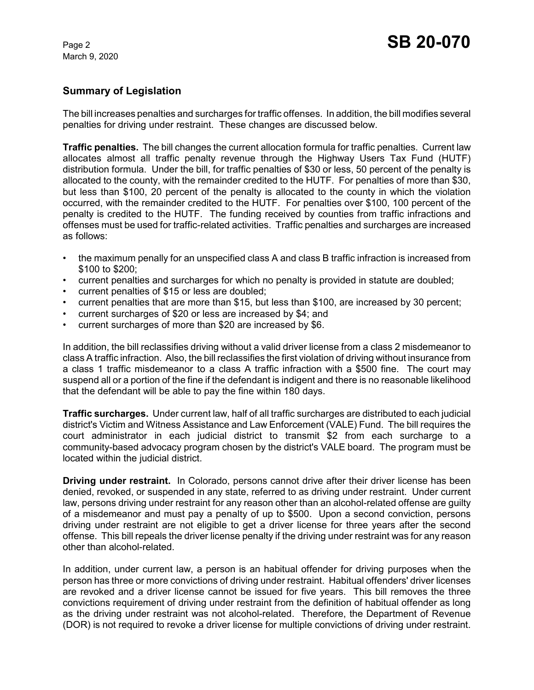#### **Summary of Legislation**

The bill increases penalties and surcharges for traffic offenses. In addition, the bill modifies several penalties for driving under restraint. These changes are discussed below.

**Traffic penalties.** The bill changes the current allocation formula for traffic penalties. Current law allocates almost all traffic penalty revenue through the Highway Users Tax Fund (HUTF) distribution formula. Under the bill, for traffic penalties of \$30 or less, 50 percent of the penalty is allocated to the county, with the remainder credited to the HUTF. For penalties of more than \$30, but less than \$100, 20 percent of the penalty is allocated to the county in which the violation occurred, with the remainder credited to the HUTF. For penalties over \$100, 100 percent of the penalty is credited to the HUTF. The funding received by counties from traffic infractions and offenses must be used for traffic-related activities. Traffic penalties and surcharges are increased as follows:

- the maximum penally for an unspecified class A and class B traffic infraction is increased from \$100 to \$200;
- current penalties and surcharges for which no penalty is provided in statute are doubled;
- current penalties of \$15 or less are doubled;
- current penalties that are more than \$15, but less than \$100, are increased by 30 percent;
- current surcharges of \$20 or less are increased by \$4; and
- current surcharges of more than \$20 are increased by \$6.

In addition, the bill reclassifies driving without a valid driver license from a class 2 misdemeanor to class A traffic infraction. Also, the bill reclassifies the first violation of driving without insurance from a class 1 traffic misdemeanor to a class A traffic infraction with a \$500 fine. The court may suspend all or a portion of the fine if the defendant is indigent and there is no reasonable likelihood that the defendant will be able to pay the fine within 180 days.

**Traffic surcharges.** Under current law, half of all traffic surcharges are distributed to each judicial district's Victim and Witness Assistance and Law Enforcement (VALE) Fund. The bill requires the court administrator in each judicial district to transmit \$2 from each surcharge to a community-based advocacy program chosen by the district's VALE board. The program must be located within the judicial district.

**Driving under restraint.** In Colorado, persons cannot drive after their driver license has been denied, revoked, or suspended in any state, referred to as driving under restraint. Under current law, persons driving under restraint for any reason other than an alcohol-related offense are guilty of a misdemeanor and must pay a penalty of up to \$500. Upon a second conviction, persons driving under restraint are not eligible to get a driver license for three years after the second offense. This bill repeals the driver license penalty if the driving under restraint was for any reason other than alcohol-related.

In addition, under current law, a person is an habitual offender for driving purposes when the person has three or more convictions of driving under restraint. Habitual offenders' driver licenses are revoked and a driver license cannot be issued for five years. This bill removes the three convictions requirement of driving under restraint from the definition of habitual offender as long as the driving under restraint was not alcohol-related. Therefore, the Department of Revenue (DOR) is not required to revoke a driver license for multiple convictions of driving under restraint.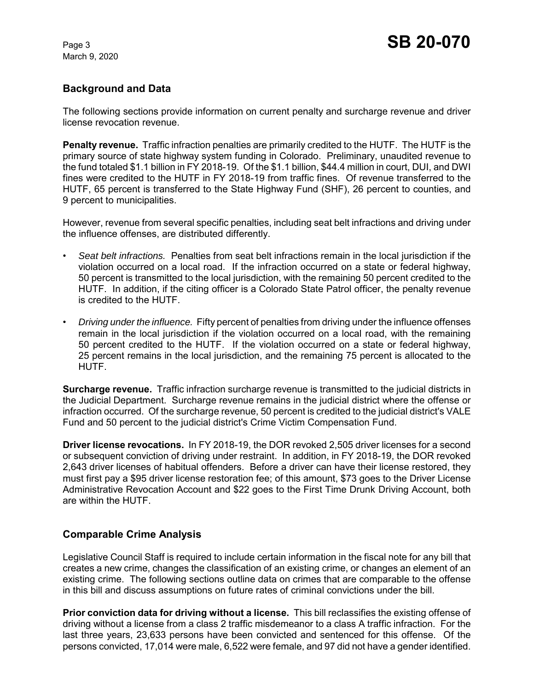# **Background and Data**

The following sections provide information on current penalty and surcharge revenue and driver license revocation revenue.

**Penalty revenue.** Traffic infraction penalties are primarily credited to the HUTF. The HUTF is the primary source of state highway system funding in Colorado. Preliminary, unaudited revenue to the fund totaled \$1.1 billion in FY 2018-19. Of the \$1.1 billion, \$44.4 million in court, DUI, and DWI fines were credited to the HUTF in FY 2018-19 from traffic fines. Of revenue transferred to the HUTF, 65 percent is transferred to the State Highway Fund (SHF), 26 percent to counties, and 9 percent to municipalities.

However, revenue from several specific penalties, including seat belt infractions and driving under the influence offenses, are distributed differently.

- *Seat belt infractions.* Penalties from seat belt infractions remain in the local jurisdiction if the violation occurred on a local road. If the infraction occurred on a state or federal highway, 50 percent is transmitted to the local jurisdiction, with the remaining 50 percent credited to the HUTF. In addition, if the citing officer is a Colorado State Patrol officer, the penalty revenue is credited to the HUTF.
- *Driving under the influence.* Fifty percent of penalties from driving under the influence offenses remain in the local jurisdiction if the violation occurred on a local road, with the remaining 50 percent credited to the HUTF. If the violation occurred on a state or federal highway, 25 percent remains in the local jurisdiction, and the remaining 75 percent is allocated to the HUTF.

**Surcharge revenue.** Traffic infraction surcharge revenue is transmitted to the judicial districts in the Judicial Department. Surcharge revenue remains in the judicial district where the offense or infraction occurred. Of the surcharge revenue, 50 percent is credited to the judicial district's VALE Fund and 50 percent to the judicial district's Crime Victim Compensation Fund.

**Driver license revocations.** In FY 2018-19, the DOR revoked 2,505 driver licenses for a second or subsequent conviction of driving under restraint. In addition, in FY 2018-19, the DOR revoked 2,643 driver licenses of habitual offenders. Before a driver can have their license restored, they must first pay a \$95 driver license restoration fee; of this amount, \$73 goes to the Driver License Administrative Revocation Account and \$22 goes to the First Time Drunk Driving Account, both are within the HUTF.

# **Comparable Crime Analysis**

Legislative Council Staff is required to include certain information in the fiscal note for any bill that creates a new crime, changes the classification of an existing crime, or changes an element of an existing crime. The following sections outline data on crimes that are comparable to the offense in this bill and discuss assumptions on future rates of criminal convictions under the bill.

**Prior conviction data for driving without a license.** This bill reclassifies the existing offense of driving without a license from a class 2 traffic misdemeanor to a class A traffic infraction. For the last three years, 23,633 persons have been convicted and sentenced for this offense. Of the persons convicted, 17,014 were male, 6,522 were female, and 97 did not have a gender identified.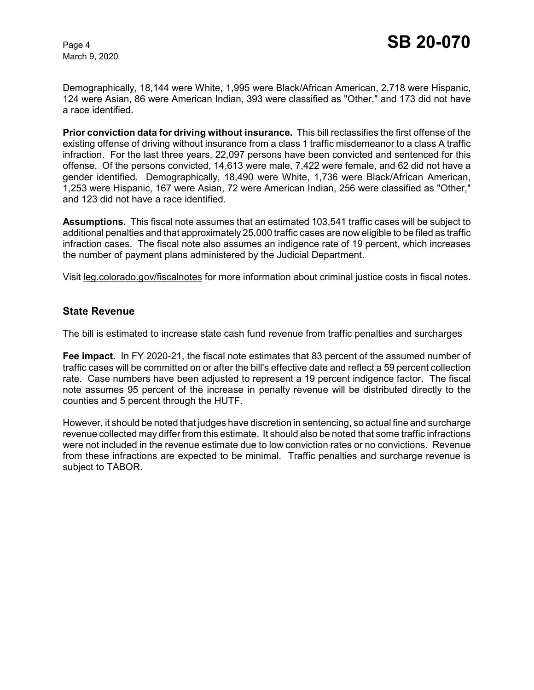Demographically, 18,144 were White, 1,995 were Black/African American, 2,718 were Hispanic, 124 were Asian, 86 were American Indian, 393 were classified as "Other," and 173 did not have a race identified.

**Prior conviction data for driving without insurance.** This bill reclassifies the first offense of the existing offense of driving without insurance from a class 1 traffic misdemeanor to a class A traffic infraction. For the last three years, 22,097 persons have been convicted and sentenced for this offense. Of the persons convicted, 14,613 were male, 7,422 were female, and 62 did not have a gender identified. Demographically, 18,490 were White, 1,736 were Black/African American, 1,253 were Hispanic, 167 were Asian, 72 were American Indian, 256 were classified as "Other," and 123 did not have a race identified.

**Assumptions.** This fiscal note assumes that an estimated 103,541 traffic cases will be subject to additional penalties and that approximately 25,000 traffic cases are now eligible to be filed as traffic infraction cases. The fiscal note also assumes an indigence rate of 19 percent, which increases the number of payment plans administered by the Judicial Department.

Visit leg.colorado.gov/fiscalnotes for more information about criminal justice costs in fiscal notes.

#### **State Revenue**

The bill is estimated to increase state cash fund revenue from traffic penalties and surcharges

**Fee impact.** In FY 2020-21, the fiscal note estimates that 83 percent of the assumed number of traffic cases will be committed on or after the bill's effective date and reflect a 59 percent collection rate. Case numbers have been adjusted to represent a 19 percent indigence factor. The fiscal note assumes 95 percent of the increase in penalty revenue will be distributed directly to the counties and 5 percent through the HUTF.

However, it should be noted that judges have discretion in sentencing, so actual fine and surcharge revenue collected may differ from this estimate. It should also be noted that some traffic infractions were not included in the revenue estimate due to low conviction rates or no convictions. Revenue from these infractions are expected to be minimal. Traffic penalties and surcharge revenue is subject to TABOR.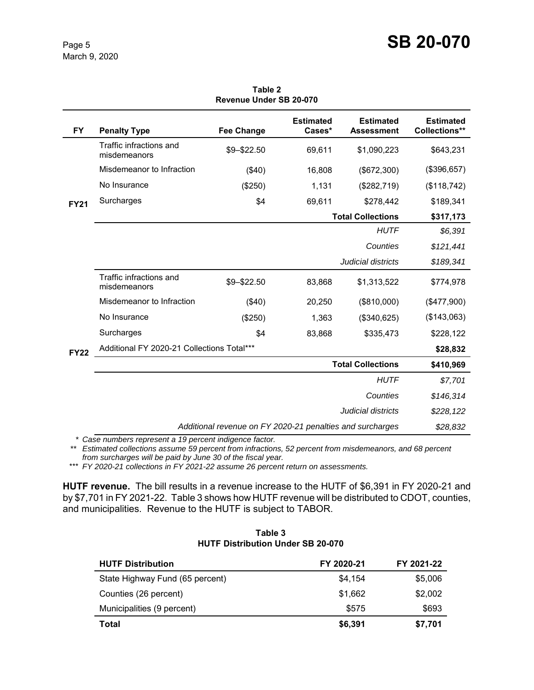| <b>FY</b>   | <b>Penalty Type</b>                                       | <b>Fee Change</b> | <b>Estimated</b><br>Cases* | <b>Estimated</b><br><b>Assessment</b> | <b>Estimated</b><br>Collections** |
|-------------|-----------------------------------------------------------|-------------------|----------------------------|---------------------------------------|-----------------------------------|
| <b>FY21</b> | Traffic infractions and<br>misdemeanors                   | \$9-\$22.50       | 69,611                     | \$1,090,223                           | \$643,231                         |
|             | Misdemeanor to Infraction                                 | (\$40)            | 16,808                     | (\$672,300)                           | (\$396,657)                       |
|             | No Insurance                                              | (\$250)           | 1,131                      | (\$282,719)                           | (\$118,742)                       |
|             | Surcharges                                                | \$4               | 69,611                     | \$278,442                             | \$189,341                         |
|             |                                                           |                   |                            | <b>Total Collections</b>              | \$317,173                         |
|             |                                                           |                   |                            | <b>HUTF</b>                           | \$6,391                           |
|             |                                                           |                   |                            | Counties                              | \$121,441                         |
|             |                                                           |                   |                            | Judicial districts                    | \$189,341                         |
| <b>FY22</b> | Traffic infractions and<br>misdemeanors                   | \$9-\$22.50       | 83,868                     | \$1,313,522                           | \$774,978                         |
|             | Misdemeanor to Infraction                                 | (\$40)            | 20,250                     | (\$810,000)                           | (\$477,900)                       |
|             | No Insurance                                              | (\$250)           | 1,363                      | (\$340,625)                           | (\$143,063)                       |
|             | Surcharges                                                | \$4               | 83,868                     | \$335,473                             | \$228,122                         |
|             | Additional FY 2020-21 Collections Total***                |                   |                            |                                       | \$28,832                          |
|             | <b>Total Collections</b>                                  |                   |                            |                                       | \$410,969                         |
|             |                                                           |                   |                            | <b>HUTF</b>                           | \$7,701                           |
|             |                                                           |                   |                            | Counties                              | \$146,314                         |
|             |                                                           |                   |                            | Judicial districts                    | \$228,122                         |
|             | Additional revenue on FY 2020-21 penalties and surcharges |                   |                            |                                       | \$28,832                          |

**Table 2 Revenue Under SB 20-070**

*\* Case numbers represent a 19 percent indigence factor.*

*\*\* Estimated collections assume 59 percent from infractions, 52 percent from misdemeanors, and 68 percent from surcharges will be paid by June 30 of the fiscal year.* 

\*\*\* *FY 2020-21 collections in FY 2021-22 assume 26 percent return on assessments.*

**HUTF revenue.** The bill results in a revenue increase to the HUTF of \$6,391 in FY 2020-21 and by \$7,701 in FY 2021-22. Table 3 shows how HUTF revenue will be distributed to CDOT, counties, and municipalities. Revenue to the HUTF is subject to TABOR.

| <b>HUTF Distribution</b>        | FY 2020-21 | FY 2021-22 |
|---------------------------------|------------|------------|
| State Highway Fund (65 percent) | \$4,154    | \$5,006    |
| Counties (26 percent)           | \$1,662    | \$2,002    |
| Municipalities (9 percent)      | \$575      | \$693      |
| Total                           | \$6,391    | \$7,701    |

**Table 3 HUTF Distribution Under SB 20-070**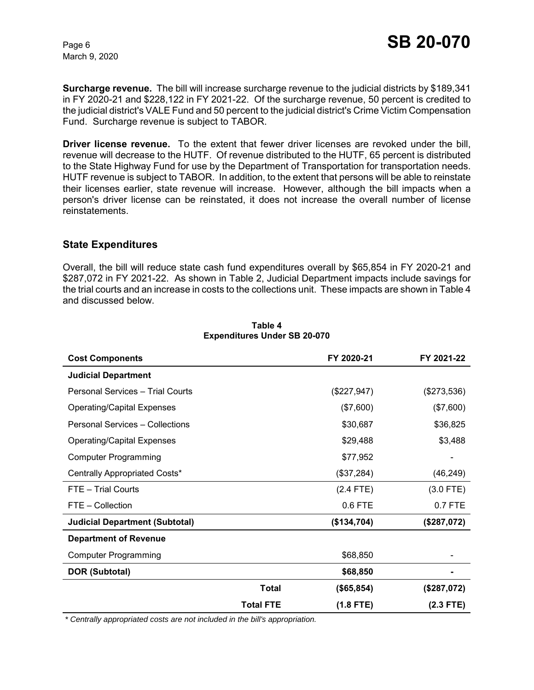**Surcharge revenue.** The bill will increase surcharge revenue to the judicial districts by \$189,341 in FY 2020-21 and \$228,122 in FY 2021-22. Of the surcharge revenue, 50 percent is credited to the judicial district's VALE Fund and 50 percent to the judicial district's Crime Victim Compensation Fund. Surcharge revenue is subject to TABOR.

**Driver license revenue.** To the extent that fewer driver licenses are revoked under the bill, revenue will decrease to the HUTF. Of revenue distributed to the HUTF, 65 percent is distributed to the State Highway Fund for use by the Department of Transportation for transportation needs. HUTF revenue is subject to TABOR. In addition, to the extent that persons will be able to reinstate their licenses earlier, state revenue will increase. However, although the bill impacts when a person's driver license can be reinstated, it does not increase the overall number of license reinstatements.

#### **State Expenditures**

Overall, the bill will reduce state cash fund expenditures overall by \$65,854 in FY 2020-21 and \$287,072 in FY 2021-22. As shown in Table 2, Judicial Department impacts include savings for the trial courts and an increase in costs to the collections unit. These impacts are shown in Table 4 and discussed below.

| <b>Cost Components</b>                |                  | FY 2020-21    | FY 2021-22    |
|---------------------------------------|------------------|---------------|---------------|
| <b>Judicial Department</b>            |                  |               |               |
| Personal Services - Trial Courts      |                  | $(\$227,947)$ | $(\$273,536)$ |
| <b>Operating/Capital Expenses</b>     |                  | (\$7,600)     | (\$7,600)     |
| Personal Services - Collections       |                  | \$30,687      | \$36,825      |
| <b>Operating/Capital Expenses</b>     |                  | \$29,488      | \$3,488       |
| <b>Computer Programming</b>           |                  | \$77,952      |               |
| Centrally Appropriated Costs*         |                  | (\$37,284)    | (46, 249)     |
| FTE - Trial Courts                    |                  | $(2.4$ FTE)   | $(3.0$ FTE)   |
| FTE - Collection                      |                  | 0.6 FTE       | 0.7 FTE       |
| <b>Judicial Department (Subtotal)</b> |                  | (\$134,704)   | (\$287,072)   |
| <b>Department of Revenue</b>          |                  |               |               |
| <b>Computer Programming</b>           |                  | \$68,850      |               |
| <b>DOR (Subtotal)</b>                 |                  | \$68,850      |               |
|                                       | <b>Total</b>     | (\$65,854)    | (\$287,072)   |
|                                       | <b>Total FTE</b> | $(1.8$ FTE)   | $(2.3$ FTE)   |

#### **Table 4 Expenditures Under SB 20-070**

 *\* Centrally appropriated costs are not included in the bill's appropriation.*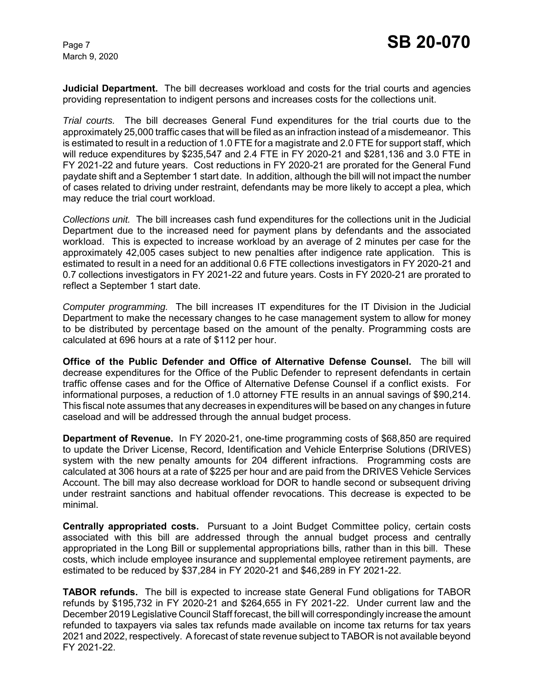**Judicial Department.** The bill decreases workload and costs for the trial courts and agencies providing representation to indigent persons and increases costs for the collections unit.

*Trial courts.* The bill decreases General Fund expenditures for the trial courts due to the approximately 25,000 traffic cases that will be filed as an infraction instead of a misdemeanor. This is estimated to result in a reduction of 1.0 FTE for a magistrate and 2.0 FTE for support staff, which will reduce expenditures by \$235,547 and 2.4 FTE in FY 2020-21 and \$281,136 and 3.0 FTE in FY 2021-22 and future years. Cost reductions in FY 2020-21 are prorated for the General Fund paydate shift and a September 1 start date. In addition, although the bill will not impact the number of cases related to driving under restraint, defendants may be more likely to accept a plea, which may reduce the trial court workload.

*Collections unit.* The bill increases cash fund expenditures for the collections unit in the Judicial Department due to the increased need for payment plans by defendants and the associated workload. This is expected to increase workload by an average of 2 minutes per case for the approximately 42,005 cases subject to new penalties after indigence rate application. This is estimated to result in a need for an additional 0.6 FTE collections investigators in FY 2020-21 and 0.7 collections investigators in FY 2021-22 and future years. Costs in FY 2020-21 are prorated to reflect a September 1 start date.

*Computer programming.* The bill increases IT expenditures for the IT Division in the Judicial Department to make the necessary changes to he case management system to allow for money to be distributed by percentage based on the amount of the penalty. Programming costs are calculated at 696 hours at a rate of \$112 per hour.

**Office of the Public Defender and Office of Alternative Defense Counsel.**The bill will decrease expenditures for the Office of the Public Defender to represent defendants in certain traffic offense cases and for the Office of Alternative Defense Counsel if a conflict exists. For informational purposes, a reduction of 1.0 attorney FTE results in an annual savings of \$90,214. This fiscal note assumes that any decreases in expenditures will be based on any changes in future caseload and will be addressed through the annual budget process.

**Department of Revenue.** In FY 2020-21, one-time programming costs of \$68,850 are required to update the Driver License, Record, Identification and Vehicle Enterprise Solutions (DRIVES) system with the new penalty amounts for 204 different infractions. Programming costs are calculated at 306 hours at a rate of \$225 per hour and are paid from the DRIVES Vehicle Services Account. The bill may also decrease workload for DOR to handle second or subsequent driving under restraint sanctions and habitual offender revocations. This decrease is expected to be minimal.

**Centrally appropriated costs.** Pursuant to a Joint Budget Committee policy, certain costs associated with this bill are addressed through the annual budget process and centrally appropriated in the Long Bill or supplemental appropriations bills, rather than in this bill. These costs, which include employee insurance and supplemental employee retirement payments, are estimated to be reduced by \$37,284 in FY 2020-21 and \$46,289 in FY 2021-22.

**TABOR refunds.** The bill is expected to increase state General Fund obligations for TABOR refunds by \$195,732 in FY 2020-21 and \$264,655 in FY 2021-22. Under current law and the December 2019 Legislative Council Staff forecast, the bill will correspondingly increase the amount refunded to taxpayers via sales tax refunds made available on income tax returns for tax years 2021 and 2022, respectively. A forecast of state revenue subject to TABOR is not available beyond FY 2021-22.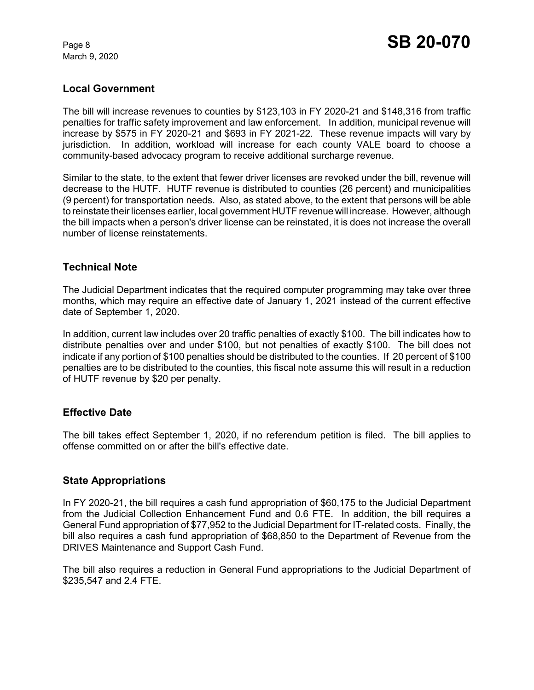### **Local Government**

The bill will increase revenues to counties by \$123,103 in FY 2020-21 and \$148,316 from traffic penalties for traffic safety improvement and law enforcement. In addition, municipal revenue will increase by \$575 in FY 2020-21 and \$693 in FY 2021-22. These revenue impacts will vary by jurisdiction. In addition, workload will increase for each county VALE board to choose a community-based advocacy program to receive additional surcharge revenue.

Similar to the state, to the extent that fewer driver licenses are revoked under the bill, revenue will decrease to the HUTF. HUTF revenue is distributed to counties (26 percent) and municipalities (9 percent) for transportation needs. Also, as stated above, to the extent that persons will be able to reinstate their licenses earlier, local government HUTF revenue will increase. However, although the bill impacts when a person's driver license can be reinstated, it is does not increase the overall number of license reinstatements.

#### **Technical Note**

The Judicial Department indicates that the required computer programming may take over three months, which may require an effective date of January 1, 2021 instead of the current effective date of September 1, 2020.

In addition, current law includes over 20 traffic penalties of exactly \$100. The bill indicates how to distribute penalties over and under \$100, but not penalties of exactly \$100. The bill does not indicate if any portion of \$100 penalties should be distributed to the counties. If 20 percent of \$100 penalties are to be distributed to the counties, this fiscal note assume this will result in a reduction of HUTF revenue by \$20 per penalty.

# **Effective Date**

The bill takes effect September 1, 2020, if no referendum petition is filed. The bill applies to offense committed on or after the bill's effective date.

#### **State Appropriations**

In FY 2020-21, the bill requires a cash fund appropriation of \$60,175 to the Judicial Department from the Judicial Collection Enhancement Fund and 0.6 FTE. In addition, the bill requires a General Fund appropriation of \$77,952 to the Judicial Department for IT-related costs. Finally, the bill also requires a cash fund appropriation of \$68,850 to the Department of Revenue from the DRIVES Maintenance and Support Cash Fund.

The bill also requires a reduction in General Fund appropriations to the Judicial Department of \$235,547 and 2.4 FTE.